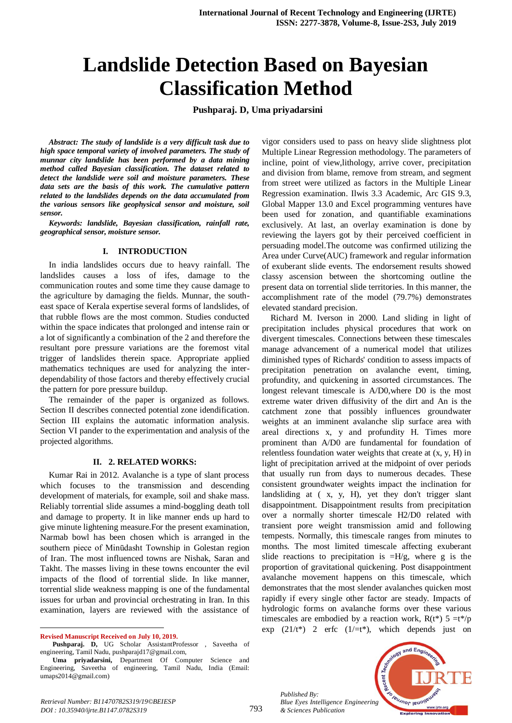# **Landslide Detection Based on Bayesian Classification Method**

**Pushparaj. D, Uma priyadarsini**

*Abstract: The study of landslide is a very difficult task due to high space temporal variety of involved parameters. The study of munnar city landslide has been performed by a data mining method called Bayesian classification. The dataset related to detect the landslide were soil and moisture parameters. These data sets are the basis of this work. The cumulative pattern related to the landslides depends on the data accumulated from the various sensors like geophysical sensor and moisture, soil sensor.*

*Keywords: landslide, Bayesian classification, rainfall rate, geographical sensor, moisture sensor.*

### **I. INTRODUCTION**

In india landslides occurs due to heavy rainfall. The landslides causes a loss of ifes, damage to the communication routes and some time they cause damage to the agriculture by damaging the fields. Munnar, the southeast space of Kerala expertise several forms of landslides, of that rubble flows are the most common. Studies conducted within the space indicates that prolonged and intense rain or a lot of significantly a combination of the 2 and therefore the resultant pore pressure variations are the foremost vital trigger of landslides therein space. Appropriate applied mathematics techniques are used for analyzing the interdependability of those factors and thereby effectively crucial the pattern for pore pressure buildup.

The remainder of the paper is organized as follows. Section II describes connected potential zone idendification. Section III explains the automatic information analysis. Section VI pander to the experimentation and analysis of the projected algorithms.

#### **II. 2. RELATED WORKS:**

Kumar Rai in 2012. Avalanche is a type of slant process which focuses to the transmission and descending development of materials, for example, soil and shake mass. Reliably torrential slide assumes a mind-boggling death toll and damage to property. It in like manner ends up hard to give minute lightening measure.For the present examination, Narmab bowl has been chosen which is arranged in the southern piece of Minūdasht Township in Golestan region of Iran. The most influenced towns are Nishak, Saran and Takht. The masses living in these towns encounter the evil impacts of the flood of torrential slide. In like manner, torrential slide weakness mapping is one of the fundamental issues for urban and provincial orchestrating in Iran. In this examination, layers are reviewed with the assistance of

**Revised Manuscript Received on July 10, 2019.**

 $\ddot{\phantom{a}}$ 

vigor considers used to pass on heavy slide slightness plot Multiple Linear Regression methodology. The parameters of incline, point of view,lithology, arrive cover, precipitation and division from blame, remove from stream, and segment from street were utilized as factors in the Multiple Linear Regression examination. Ilwis 3.3 Academic, Arc GIS 9.3, Global Mapper 13.0 and Excel programming ventures have been used for zonation, and quantifiable examinations exclusively. At last, an overlay examination is done by reviewing the layers got by their perceived coefficient in persuading model.The outcome was confirmed utilizing the Area under Curve(AUC) framework and regular information of exuberant slide events. The endorsement results showed classy ascension between the shortcoming outline the present data on torrential slide territories. In this manner, the accomplishment rate of the model (79.7%) demonstrates elevated standard precision.

Richard M. Iverson in 2000. Land sliding in light of precipitation includes physical procedures that work on divergent timescales. Connections between these timescales manage advancement of a numerical model that utilizes diminished types of Richards' condition to assess impacts of precipitation penetration on avalanche event, timing, profundity, and quickening in assorted circumstances. The longest relevant timescale is A/D0,where D0 is the most extreme water driven diffusivity of the dirt and An is the catchment zone that possibly influences groundwater weights at an imminent avalanche slip surface area with areal directions x, y and profundity H. Times more prominent than A/D0 are fundamental for foundation of relentless foundation water weights that create at (x, y, H) in light of precipitation arrived at the midpoint of over periods that usually run from days to numerous decades. These consistent groundwater weights impact the inclination for landsliding at ( x, y, H), yet they don't trigger slant disappointment. Disappointment results from precipitation over a normally shorter timescale H2/D0 related with transient pore weight transmission amid and following tempests. Normally, this timescale ranges from minutes to months. The most limited timescale affecting exuberant slide reactions to precipitation is  $=H/g$ , where g is the proportion of gravitational quickening. Post disappointment avalanche movement happens on this timescale, which demonstrates that the most slender avalanches quicken most rapidly if every single other factor are steady. Impacts of hydrologic forms on avalanche forms over these various timescales are embodied by a reaction work,  $R(t^*)$  5 =t\*/p exp  $(21/t^*)$  2 erfc  $(1/\pm t^*)$ , which depends just on

*Published By: Blue Eyes Intelligence Engineering & Sciences Publication* 



Pushparaj. D, UG Scholar AssistantProfessor , Saveetha of engineering, Tamil Nadu, pushparajd17@gmail.com,

**Uma priyadarsini,** Department Of Computer Science and Engineering, Saveetha of engineering, Tamil Nadu, India (Email: umaps2014@gmail.com)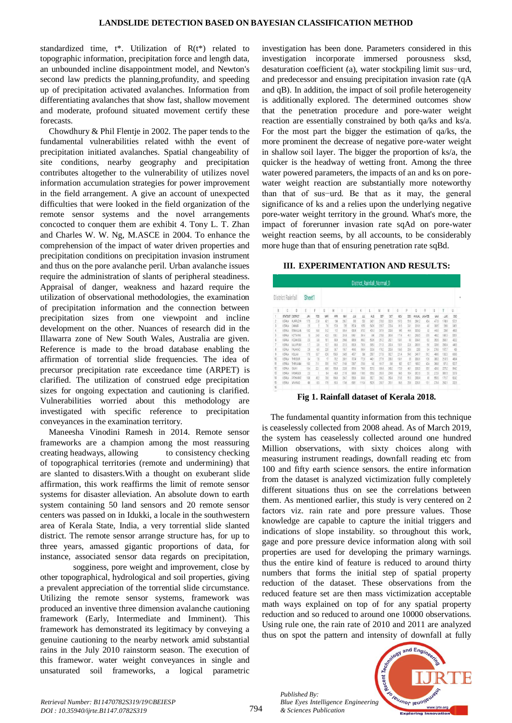standardized time, t\*. Utilization of R(t\*) related to topographic information, precipitation force and length data, an unbounded incline disappointment model, and Newton's second law predicts the planning,profundity, and speeding up of precipitation activated avalanches. Information from differentiating avalanches that show fast, shallow movement and moderate, profound situated movement certify these forecasts.

Chowdhury & Phil Flentje in 2002. The paper tends to the fundamental vulnerabilities related withh the event of precipitation initiated avalanches. Spatial changeability of site conditions, nearby geography and precipitation contributes altogether to the vulnerability of utilizes novel information accumulation strategies for power improvement in the field arrangement. A give an account of unexpected difficulties that were looked in the field organization of the remote sensor systems and the novel arrangements concocted to conquer them are exhibit 4. Tony L. T. Zhan and Charles W. W. Ng, M.ASCE in 2004. To enhance the comprehension of the impact of water driven properties and precipitation conditions on precipitation invasion instrument and thus on the pore avalanche peril. Urban avalanche issues require the administration of slants of peripheral steadiness. Appraisal of danger, weakness and hazard require the utilization of observational methodologies, the examination of precipitation information and the connection between precipitation sizes from one viewpoint and incline development on the other. Nuances of research did in the Illawarra zone of New South Wales, Australia are given. Reference is made to the broad database enabling the affirmation of torrential slide frequencies. The idea of precursor precipitation rate exceedance time (ARPET) is clarified. The utilization of construed edge precipitation sizes for ongoing expectation and cautioning is clarified. Vulnerabilities worried about this methodology are investigated with specific reference to precipitation conveyances in the examination territory.

Maneesha Vinodini Ramesh in 2014. Remote sensor frameworks are a champion among the most reassuring creating headways, allowing to consistency checking of topographical territories (remote and undermining) that are slanted to disasters.With a thought on exuberant slide affirmation, this work reaffirms the limit of remote sensor systems for disaster alleviation. An absolute down to earth system containing 50 land sensors and 20 remote sensor centers was passed on in Idukki, a locale in the southwestern area of Kerala State, India, a very torrential slide slanted district. The remote sensor arrange structure has, for up to three years, amassed gigantic proportions of data, for instance, associated sensor data regards on precipitation,

sogginess, pore weight and improvement, close by other topographical, hydrological and soil properties, giving a prevalent appreciation of the torrential slide circumstance. Utilizing the remote sensor systems, framework was produced an inventive three dimension avalanche cautioning framework (Early, Intermediate and Imminent). This framework has demonstrated its legitimacy by conveying a genuine cautioning to the nearby network amid substantial rains in the July 2010 rainstorm season. The execution of this framewor. water weight conveyances in single and unsaturated soil frameworks, a logical parametric

investigation has been done. Parameters considered in this investigation incorporate immersed porousness sksd, desaturation coefficient (a), water stockpiling limit sus−urd, and predecessor and ensuing precipitation invasion rate (qA and qB). In addition, the impact of soil profile heterogeneity is additionally explored. The determined outcomes show that the penetration procedure and pore-water weight reaction are essentially constrained by both qa/ks and ks/a. For the most part the bigger the estimation of qa/ks, the more prominent the decrease of negative pore-water weight in shallow soil layer. The bigger the proportion of ks/a, the quicker is the headway of wetting front. Among the three water powered parameters, the impacts of an and ks on porewater weight reaction are substantially more noteworthy than that of sus−urd. Be that as it may, the general significance of ks and a relies upon the underlying negative pore-water weight territory in the ground. What's more, the impact of forerunner invasion rate sqAd on pore-water weight reaction seems, by all accounts, to be considerably more huge than that of ensuring penetration rate sqBd.

# **III. EXPERIMENTATION AND RESULTS:**

| District_Rainfall_Normal_0 |                   |                |        |     |                 |      |       |       |        |            |       |       |           |      |             |                |            |             |       |
|----------------------------|-------------------|----------------|--------|-----|-----------------|------|-------|-------|--------|------------|-------|-------|-----------|------|-------------|----------------|------------|-------------|-------|
|                            | District Rainfall |                | Sheet1 |     |                 |      |       |       |        |            |       |       |           |      |             |                |            |             |       |
| B                          | ¢                 | D              | Ĕ      |     | G               | H    |       |       | K      |            | М     | Ń     | 0         | p    | 0           | R              | Š          |             | U     |
| 1                          | <b>STATE AT</b>   | DISTRICT       | 30     | FEB | MR <sub>R</sub> | ARR  | MY    | J.N   | JJ.    | <b>AUG</b> | SF2   | œ     | <b>IO</b> | DEC  | <b>ANAL</b> | <b>JRIGFEB</b> | <b>MAM</b> | <b>JUSS</b> | OID   |
|                            | KERLA             | ALAPPLE-HA     | 175    | 23  | 51              | 134  | 287   | 593   | 533    | 3431       | 2768  | 332.9 | 1976      | 516  | 3412        | 454            | 4778       | 17459       | 5721  |
| 3                          | KEALA             | CANLE          | 25     | 2   | 76              | 57.9 | 25    | 824   | 1055   | 5409       | 2207  | 224   | 88        | 20   | 3319.1      | 45             | 300.5      | 2688        | 3451  |
| ٠                          | KFFALA            | <b>ERIAULA</b> | 132    | 183 | 312             | 112  | 39.4  | 66.4  | 6702   | 401.3      | 297.1 | 283   | 15        | 44   | 3229.9      | 32             | 43.6       | 2965        | 483   |
| 5                          | KERALA            | KOTTAYAN       | 13     | 249 | 05              | 1361 | 2818  | 681   | 551.4  | 386        | 2718  | 3165  | 177.4     | 41.1 | 2935        | 37.9           | 4802       | 1897.8      | 5351  |
| 6                          | KEALA             | KO3-BODE       | 23     | 39  | 151             | 839  | 256.6 | 85.8  | 955.2  | 500.9      | 2512  | 2621  | 130       | 33   | 33641       | 62             | 3526       | 2603.1      | U2    |
|                            | KEALA             | MALAPPLIRE     | Ű      | 39  | 1D)             | 83   | 221.3 | 660.9 | 7929   | 351        | 2113  | 290.4 | 151       | 23   | 2851        | 56             | 320.6      | 2060.4      | 463   |
| 8                          | KEENA             | PALAXAD        | 29     | 65  | 25              | 987  | 158.7 | 4643  | 554    | 338        | 1792  | 263   | 138.6     | 256  | 2290        | 94             | 278.9      | 15727       | 43    |
| 9                          | KEALA             | KOLLAVI        | 175    | 337 | 62.6            | 1585 | 245   | 4512  | 396    | 258.1      | 217.9 | 327   | 22.4      | 545  | 24917       | 512            | 459.6      | 1332.1      | 635   |
| 10                         | <b>KERIA</b>      | THRSSLR        | 14     | 75  | 17              | 797  | 289.1 | 707.4 | 7729   | 4411       | 2721  | 261   | (期)       | 35   | 50631       | 109            | 385.3      | 2197.5      | 464   |
| 11                         | KEALA             | THRUANN        | 193    | 211 | 35              | 1167 | 216.6 | 338.7 | 239    | 142        | 1817  | 28    | 192       | 62.7 | 1603.2      | 414            | 388.B      | 871.3       | 527   |
| 12                         | KFRI A            | 自放             | 134    | 21  | 45              | 50.4 | 226   | 851.6 | 788.9  | 527.0      | 331   | 382   | 1729      | 近    | 3302.5      | 35.5           | 4266       | 2276.2      | 5842  |
| 13                         | KFRALA            | (354960)       | 23     |     | $\frac{2}{3}$   | \$9  | 217.6 | 993.6 | 1108.5 | 6363       | 263.1 | 2349  | 846       | 184  | 36716       | 33             | 272.9      | 3337.5      | 337.9 |
| 14                         | KERLA             | PATHAWAIT      | 198    | 81  | 73.0            | 1319 | 294.7 | 569   | 533.9  | 352.7      | 285.2 | 352.4 | 213.5     | 513  | 358.4       | 65             | 535        | 1715.7      | 632   |
| 15<br>16                   | KEALA             | WAYAYAD        | 48     | 83  | 175             | 833  | 1746  | 698.1 | 1103   | 592.9      | 2307  | 2131  | 33.6      | 23   | 5531        | 131            | 275.6      | 26321       | 3325  |

**Fig 1. Rainfall dataset of Kerala 2018.**

The fundamental quantity information from this technique is ceaselessly collected from 2008 ahead. As of March 2019, the system has ceaselessly collected around one hundred Million observations, with sixty choices along with measuring instrument readings, downfall reading etc from 100 and fifty earth science sensors. the entire information from the dataset is analyzed victimization fully completely different situations thus on see the correlations between them. As mentioned earlier, this study is very centered on 2 factors viz. rain rate and pore pressure values. Those knowledge are capable to capture the initial triggers and indications of slope instability. so throughout this work, gage and pore pressure device information along with soil properties are used for developing the primary warnings. thus the entire kind of feature is reduced to around thirty numbers that forms the initial step of spatial property reduction of the dataset. These observations from the reduced feature set are then mass victimization acceptable math ways explained on top of for any spatial property reduction and so reduced to around one 10000 observations. Using rule one, the rain rate of 2010 and 2011 are analyzed thus on spot the pattern and intensity of downfall at fully

> accent Tech **Jeuanor lenotie**

*Published By: Blue Eyes Intelligence Engineering & Sciences Publication*